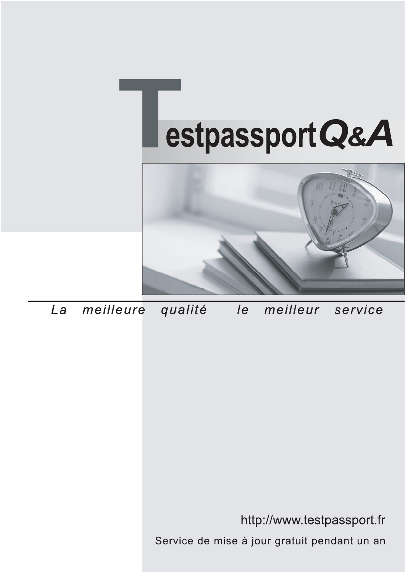



meilleure La qualité  $\overline{e}$ meilleur service

http://www.testpassport.fr

Service de mise à jour gratuit pendant un an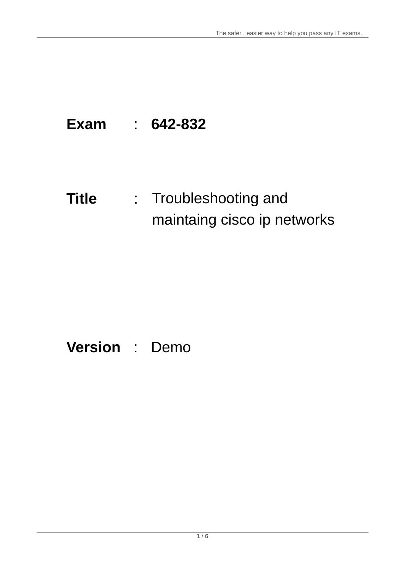# **Exam** : **642-832**

# **Title** : Troubleshooting and maintaing cisco ip networks

# **Version** : Demo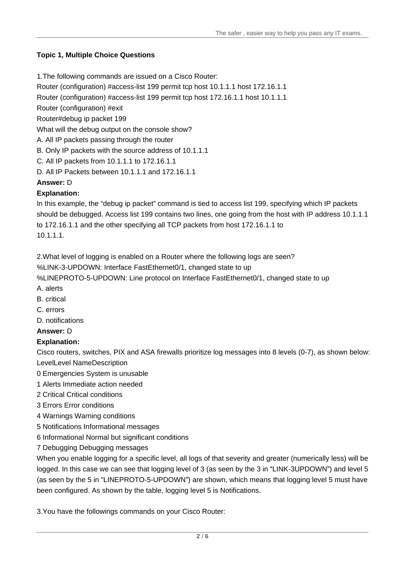## **Topic 1, Multiple Choice Questions**

- 1.The following commands are issued on a Cisco Router:
- Router (configuration) #access-list 199 permit tcp host 10.1.1.1 host 172.16.1.1

Router (configuration) #access-list 199 permit tcp host 172.16.1.1 host 10.1.1.1

Router (configuration) #exit

Router#debug ip packet 199

What will the debug output on the console show?

- A. All IP packets passing through the router
- B. Only IP packets with the source address of 10.1.1.1
- C. All IP packets from 10.1.1.1 to 172.16.1.1
- D. All IP Packets between 10.1.1.1 and 172.16.1.1

### **Answer:** D

# **Explanation:**

In this example, the "debug ip packet" command is tied to access list 199, specifying which IP packets should be debugged. Access list 199 contains two lines, one going from the host with IP address 10.1.1.1 to 172.16.1.1 and the other specifying all TCP packets from host 172.16.1.1 to 10.1.1.1.

2.What level of logging is enabled on a Router where the following logs are seen?

%LINK-3-UPDOWN: Interface FastEthernet0/1, changed state to up

%LINEPROTO-5-UPDOWN: Line protocol on Interface FastEthernet0/1, changed state to up

- A. alerts
- B. critical and the control of the control of the control of the control of the control of the control of the control of the control of the control of the control of the control of the control of the control of the control
- C. errors
- D. notifications
- **Answer:** D

# **Explanation:**

Cisco routers, switches, PIX and ASA firewalls prioritize log messages into 8 levels (0-7), as shown below: LevelLevel NameDescription

- 0 Emergencies System is unusable
- 1 Alerts Immediate action needed
- 2 Critical Critical conditions
- 3 Errors Error conditions
- 4 Warnings Warning conditions
- 5 Notifications Informational messages
- 6 Informational Normal but significant conditions
- 7 Debugging Debugging messages

When you enable logging for a specific level, all logs of that severity and greater (numerically less) will be logged. In this case we can see that logging level of 3 (as seen by the 3 in "LINK-3UPDOWN") and level 5 (as seen by the 5 in "LINEPROTO-5-UPDOWN") are shown, which means that logging level 5 must have been configured. As shown by the table, logging level 5 is Notifications.

3.You have the followings commands on your Cisco Router: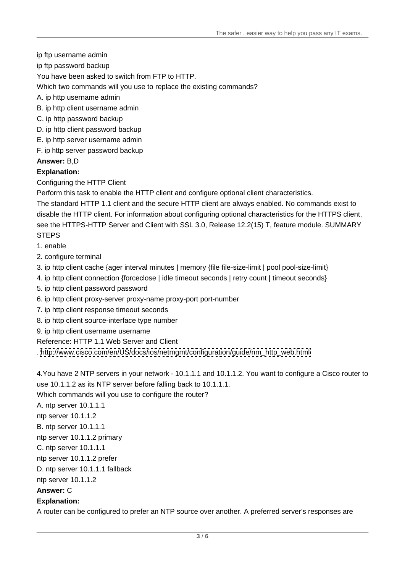- ip ftp username admin
- ip ftp password backup

You have been asked to switch from FTP to HTTP.

Which two commands will you use to replace the existing commands?

- A. ip http username admin
- B. ip http client username admin
- C. ip http password backup
- D. ip http client password backup
- E. ip http server username admin
- F. ip http server password backup

#### **Answer:** B,D

#### **Explanation:**

Configuring the HTTP Client

Perform this task to enable the HTTP client and configure optional client characteristics.

The standard HTTP 1.1 client and the secure HTTP client are always enabled. No commands exist to disable the HTTP client. For information about configuring optional characteristics for the HTTPS client, see the HTTPS-HTTP Server and Client with SSL 3.0, Release 12.2(15) T, feature module. SUMMARY STEPS **STEPS** 

1. enable

2. configure terminal

3. ip http client cache {ager interval minutes | memory {file file-size-limit | pool pool-size-limit}

- 4. ip http client connection {forceclose | idle timeout seconds | retry count | timeout seconds}
- 5. ip http client password password
- 6. ip http client proxy-server proxy-name proxy-port port-number
- 7. ip http client response timeout seconds
- 8. ip http client source-interface type number
- 9. ip http client username username

Reference: HTTP 1.1 Web Server and Client

. [http://www.cisco.com/en/US/docs/ios/netmgmt/configuration/guide/nm\\_http\\_web.html](http://www.cisco.com/en/US/docs/ios/netmgmt/configuration/guide/nm_http_web.html) 

4.You have 2 NTP servers in your network - 10.1.1.1 and 10.1.1.2. You want to configure a Cisco router to use 10.1.1.2 as its NTP server before falling back to 10.1.1.1.

Which commands will you use to configure the router?

A. ntp server 10.1.1.1

ntp server 10.1.1.2

B. ntp server 10.1.1.1

ntp server 10.1.1.2 primary

C. ntp server 10.1.1.1

ntp server 10.1.1.2 prefer

D. ntp server 10.1.1.1 fallback

ntp server 10.1.1.2

#### **Answer:** C

#### **Explanation:**

A router can be configured to prefer an NTP source over another. A preferred server's responses are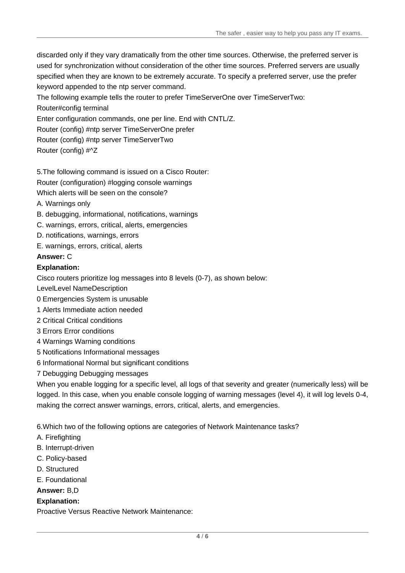discarded only if they vary dramatically from the other time sources. Otherwise, the preferred server is used for synchronization without consideration of the other time sources. Preferred servers are usually specified when they are known to be extremely accurate. To specify a preferred server, use the prefer keyword appended to the ntp server command.

The following example tells the router to prefer TimeServerOne over TimeServerTwo:

Router#config terminal

Enter configuration commands, one per line. End with CNTL/Z.

Router (config) #ntp server TimeServerOne prefer

Router (config) #ntp server TimeServerTwo

Router (config) #^Z

5.The following command is issued on a Cisco Router:

Router (configuration) #logging console warnings

Which alerts will be seen on the console?

- A. Warnings only
- B. debugging, informational, notifications, warnings
- C. warnings, errors, critical, alerts, emergencies
- D. notifications, warnings, errors
- E. warnings, errors, critical, alerts

#### **Answer:** C

#### **Explanation:**

Cisco routers prioritize log messages into 8 levels (0-7), as shown below:

LevelLevel NameDescription

- 0 Emergencies System is unusable
- 1 Alerts Immediate action needed
- 2 Critical Critical conditions
- 3 Errors Error conditions
- 4 Warnings Warning conditions
- 5 Notifications Informational messages
- 6 Informational Normal but significant conditions
- 7 Debugging Debugging messages

When you enable logging for a specific level, all logs of that severity and greater (numerically less) will be logged. In this case, when you enable console logging of warning messages (level 4), it will log levels 0-4, making the correct answer warnings, errors, critical, alerts, and emergencies.

6.Which two of the following options are categories of Network Maintenance tasks?

- A. Firefighting
- B. Interrupt-driven
- C. Policy-based
- D. Structured
- E. Foundational

#### **Answer:** B,D

#### **Explanation:**

Proactive Versus Reactive Network Maintenance: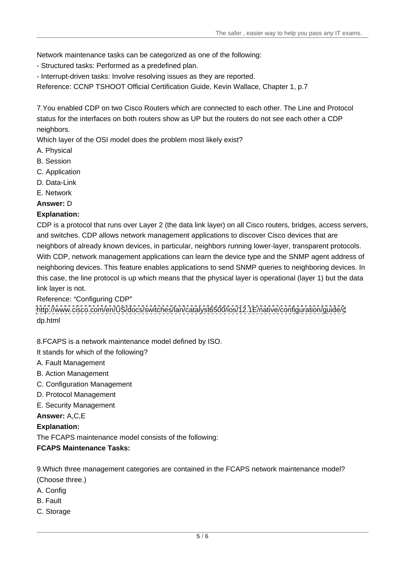Network maintenance tasks can be categorized as one of the following:<br>- Structured tasks: Performed as a predefined plan.<br>- Interrupt-driven tasks: Involve resolving issues as they are reported.

Reference: CCNP TSHOOT Official Certification Guide, Kevin Wallace, Chapter 1, p.7

7.You enabled CDP on two Cisco Routers which are connected to each other. The Line and Protocol status for the interfaces on both routers show as UP but the routers do not see each other a CDP neighbors.

Which layer of the OSI model does the problem most likely exist?

- A. Physical
- B. Session
- C. Application
- D. Data-Link
- E. Network
- **Answer:** D

#### **Explanation:**

CDP is a protocol that runs over Layer 2 (the data link layer) on all Cisco routers, bridges, access servers, and switches. CDP allows network management applications to discover Cisco devices that are neighbors of already known devices, in particular, neighbors running lower-layer, transparent protocols. With CDP, network management applications can learn the device type and the SNMP agent address of neighboring devices. This feature enables applications to send SNMP queries to neighboring devices. In this case, the line protocol is up which means that the physical layer is operational (layer 1) but the data link layer is not.

Reference: Configuring CDP

<http://www.cisco.com/en/US/docs/switches/lan/catalyst6500/ios/12.1E/native/configuration/guide/c> dp.html

8.FCAPS is a network maintenance model defined by ISO.

It stands for which of the following?

- A. Fault Management
- B. Action Management
- C. Configuration Management
- D. Protocol Management
- E. Security Management

#### **Answer:** A,C,E

#### **Explanation:**

The FCAPS maintenance model consists of the following:

#### **FCAPS Maintenance Tasks:**

9.Which three management categories are contained in the FCAPS network maintenance model? (Choose three.)

- A. Config
- B. Fault
- C. Storage